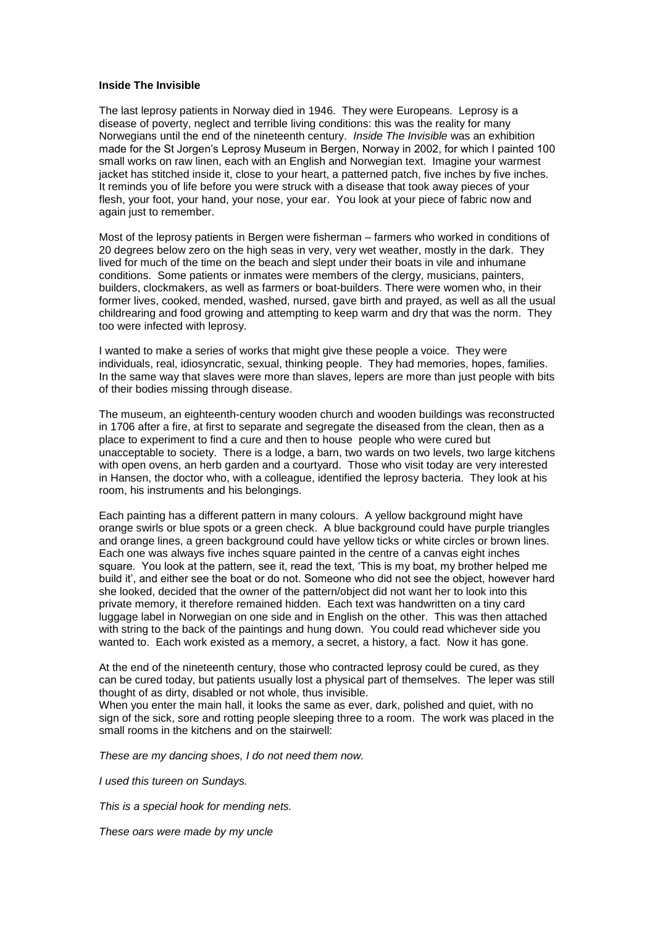## **Inside The Invisible**

The last leprosy patients in Norway died in 1946. They were Europeans. Leprosy is a disease of poverty, neglect and terrible living conditions: this was the reality for many Norwegians until the end of the nineteenth century. *Inside The Invisible* was an exhibition made for the St Jorgen's Leprosy Museum in Bergen, Norway in 2002, for which I painted 100 small works on raw linen, each with an English and Norwegian text. Imagine your warmest jacket has stitched inside it, close to your heart, a patterned patch, five inches by five inches. It reminds you of life before you were struck with a disease that took away pieces of your flesh, your foot, your hand, your nose, your ear. You look at your piece of fabric now and again just to remember.

Most of the leprosy patients in Bergen were fisherman – farmers who worked in conditions of 20 degrees below zero on the high seas in very, very wet weather, mostly in the dark. They lived for much of the time on the beach and slept under their boats in vile and inhumane conditions. Some patients or inmates were members of the clergy, musicians, painters, builders, clockmakers, as well as farmers or boat-builders. There were women who, in their former lives, cooked, mended, washed, nursed, gave birth and prayed, as well as all the usual childrearing and food growing and attempting to keep warm and dry that was the norm. They too were infected with leprosy.

I wanted to make a series of works that might give these people a voice. They were individuals, real, idiosyncratic, sexual, thinking people. They had memories, hopes, families. In the same way that slaves were more than slaves, lepers are more than just people with bits of their bodies missing through disease.

The museum, an eighteenth-century wooden church and wooden buildings was reconstructed in 1706 after a fire, at first to separate and segregate the diseased from the clean, then as a place to experiment to find a cure and then to house people who were cured but unacceptable to society. There is a lodge, a barn, two wards on two levels, two large kitchens with open ovens, an herb garden and a courtyard. Those who visit today are very interested in Hansen, the doctor who, with a colleague, identified the leprosy bacteria. They look at his room, his instruments and his belongings.

Each painting has a different pattern in many colours. A yellow background might have orange swirls or blue spots or a green check. A blue background could have purple triangles and orange lines, a green background could have yellow ticks or white circles or brown lines. Each one was always five inches square painted in the centre of a canvas eight inches square. You look at the pattern, see it, read the text, 'This is my boat, my brother helped me build it', and either see the boat or do not. Someone who did not see the object, however hard she looked, decided that the owner of the pattern/object did not want her to look into this private memory, it therefore remained hidden. Each text was handwritten on a tiny card luggage label in Norwegian on one side and in English on the other. This was then attached with string to the back of the paintings and hung down. You could read whichever side you wanted to. Each work existed as a memory, a secret, a history, a fact. Now it has gone.

At the end of the nineteenth century, those who contracted leprosy could be cured, as they can be cured today, but patients usually lost a physical part of themselves. The leper was still thought of as dirty, disabled or not whole, thus invisible.

When you enter the main hall, it looks the same as ever, dark, polished and quiet, with no sign of the sick, sore and rotting people sleeping three to a room. The work was placed in the small rooms in the kitchens and on the stairwell:

*These are my dancing shoes, I do not need them now.*

*I used this tureen on Sundays.*

*This is a special hook for mending nets.*

*These oars were made by my uncle*